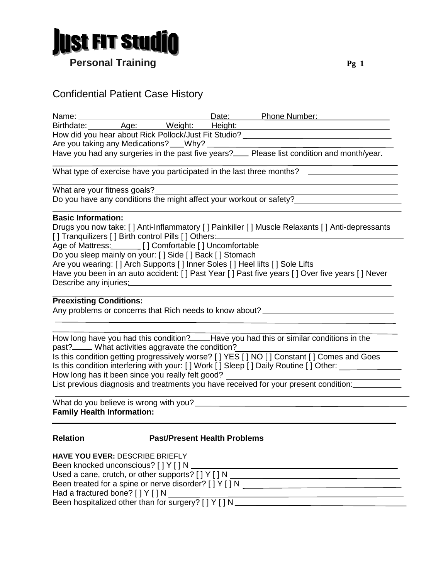

# Confidential Patient Case History

| Name: ___________                                                                                                  |                                                                                                                                                                                                                                  |  |  | Date: Phone Number:                                                                                                                                                                                                                                                                                                                                                  |  |  |  |  |  |
|--------------------------------------------------------------------------------------------------------------------|----------------------------------------------------------------------------------------------------------------------------------------------------------------------------------------------------------------------------------|--|--|----------------------------------------------------------------------------------------------------------------------------------------------------------------------------------------------------------------------------------------------------------------------------------------------------------------------------------------------------------------------|--|--|--|--|--|
|                                                                                                                    |                                                                                                                                                                                                                                  |  |  | Birthdate: Age: Weight: Height:                                                                                                                                                                                                                                                                                                                                      |  |  |  |  |  |
| How did you hear about Rick Pollock/Just Fit Studio? ___________________________                                   |                                                                                                                                                                                                                                  |  |  |                                                                                                                                                                                                                                                                                                                                                                      |  |  |  |  |  |
|                                                                                                                    |                                                                                                                                                                                                                                  |  |  |                                                                                                                                                                                                                                                                                                                                                                      |  |  |  |  |  |
|                                                                                                                    |                                                                                                                                                                                                                                  |  |  | Have you had any surgeries in the past five years?___ Please list condition and month/year.                                                                                                                                                                                                                                                                          |  |  |  |  |  |
| What type of exercise have you participated in the last three months? _________________                            |                                                                                                                                                                                                                                  |  |  |                                                                                                                                                                                                                                                                                                                                                                      |  |  |  |  |  |
| What are your fitness goals?                                                                                       |                                                                                                                                                                                                                                  |  |  |                                                                                                                                                                                                                                                                                                                                                                      |  |  |  |  |  |
| Do you have any conditions the might affect your workout or safety?                                                |                                                                                                                                                                                                                                  |  |  |                                                                                                                                                                                                                                                                                                                                                                      |  |  |  |  |  |
| <b>Basic Information:</b>                                                                                          | Age of Mattress: [ ] Comfortable [ ] Uncomfortable<br>Do you sleep mainly on your: [] Side [] Back [] Stomach<br>Describe any injuries: Describe and interest and the Describe and interest and the Describe and the Description |  |  | Drugs you now take: [] Anti-Inflammatory [] Painkiller [] Muscle Relaxants [] Anti-depressants<br>[] Tranquilizers [] Birth control Pills [] Others:______________________________<br>Are you wearing: [] Arch Supports [] Inner Soles [] Heel lifts [] Sole Lifts<br>Have you been in an auto accident: [] Past Year [] Past five years [] Over five years [] Never |  |  |  |  |  |
| <b>Preexisting Conditions:</b><br>Any problems or concerns that Rich needs to know about? ________________________ |                                                                                                                                                                                                                                  |  |  |                                                                                                                                                                                                                                                                                                                                                                      |  |  |  |  |  |
|                                                                                                                    | past? <sub>____</sub> ___ What activities aggravate the condition?                                                                                                                                                               |  |  | How long have you had this condition?_____Have you had this or similar conditions in the<br>Is this condition getting progressively worse? [ ] YES [ ] NO [ ] Constant [ ] Comes and Goes                                                                                                                                                                            |  |  |  |  |  |

Is this condition interfering with your: [ ] Work [ ] Sleep [ ] Daily Routine [ ] Other: \_\_\_\_\_\_\_\_\_\_\_\_\_\_\_\_\_

How long has it been since you really felt good?

List previous diagnosis and treatments you have received for your present condition:

| What do you believe is wrong with you? |  |
|----------------------------------------|--|
| <b>Family Health Information:</b>      |  |

### **Relation Past/Present Health Problems**

| HAVE YOU EVER: DESCRIBE BRIEFLY                           |
|-----------------------------------------------------------|
| Been knocked unconscious? [ ] Y [ ] N                     |
| Used a cane, crutch, or other supports? $[$   $Y$   $]$ N |
| Been treated for a spine or nerve disorder? [ ] Y [ ] N   |
| Had a fractured bone? $[$ $]$ $Y$ $]$ $N$                 |
| Been hospitalized other than for surgery? [ ] Y [ ] N     |